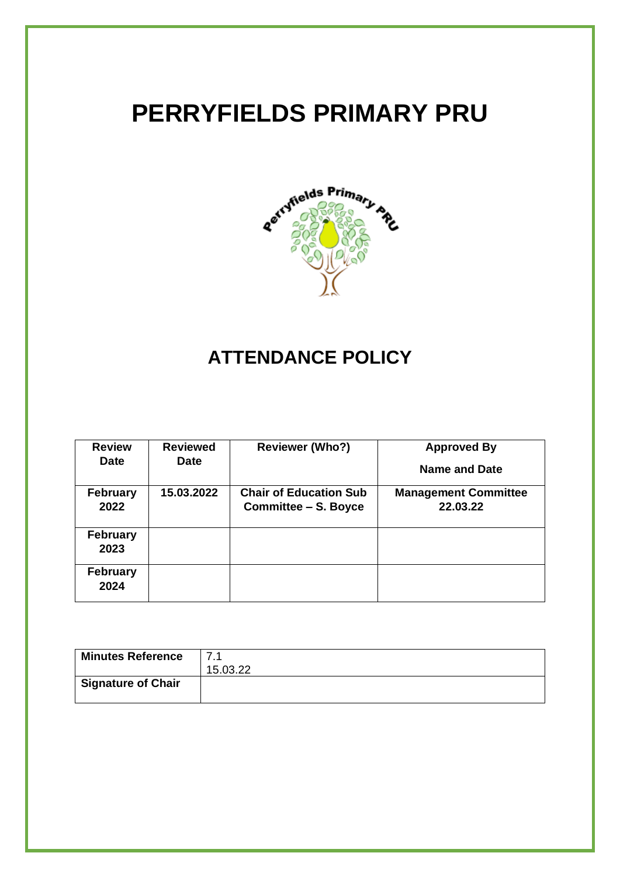# **PERRYFIELDS PRIMARY PRU**



## **ATTENDANCE POLICY**

| <b>Review</b>           | <b>Reviewed</b> | <b>Reviewer (Who?)</b>        | <b>Approved By</b>          |
|-------------------------|-----------------|-------------------------------|-----------------------------|
| <b>Date</b>             | <b>Date</b>     |                               | Name and Date               |
| <b>February</b>         | 15.03.2022      | <b>Chair of Education Sub</b> | <b>Management Committee</b> |
| 2022                    |                 | Committee - S. Boyce          | 22.03.22                    |
| <b>February</b><br>2023 |                 |                               |                             |
| <b>February</b><br>2024 |                 |                               |                             |

| <b>Minutes Reference</b>  | 7.1      |
|---------------------------|----------|
|                           | 15.03.22 |
| <b>Signature of Chair</b> |          |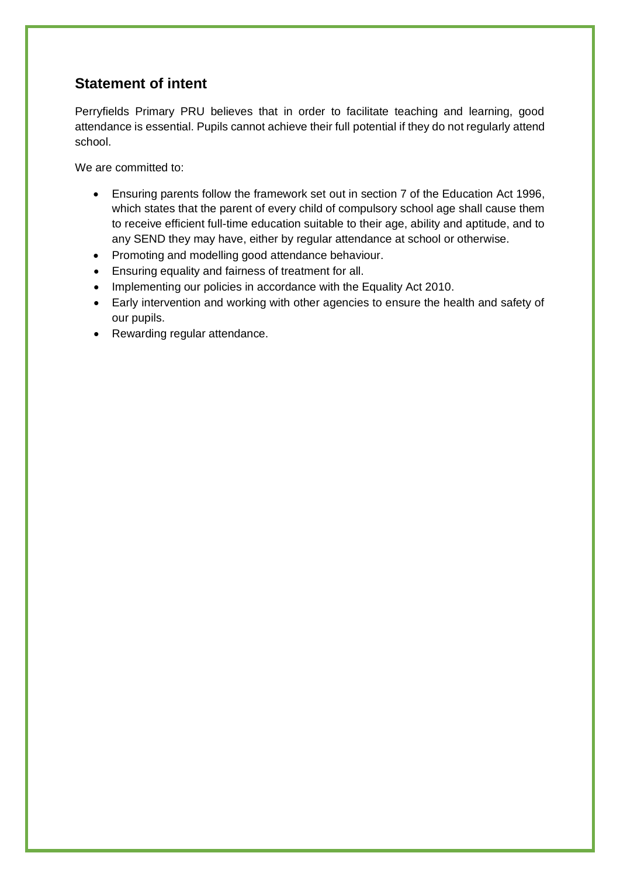## **Statement of intent**

Perryfields Primary PRU believes that in order to facilitate teaching and learning, good attendance is essential. Pupils cannot achieve their full potential if they do not regularly attend school.

We are committed to:

- Ensuring parents follow the framework set out in section 7 of the Education Act 1996, which states that the parent of every child of compulsory school age shall cause them to receive efficient full-time education suitable to their age, ability and aptitude, and to any SEND they may have, either by regular attendance at school or otherwise.
- Promoting and modelling good attendance behaviour.
- Ensuring equality and fairness of treatment for all.
- Implementing our policies in accordance with the Equality Act 2010.
- Early intervention and working with other agencies to ensure the health and safety of our pupils.
- Rewarding regular attendance.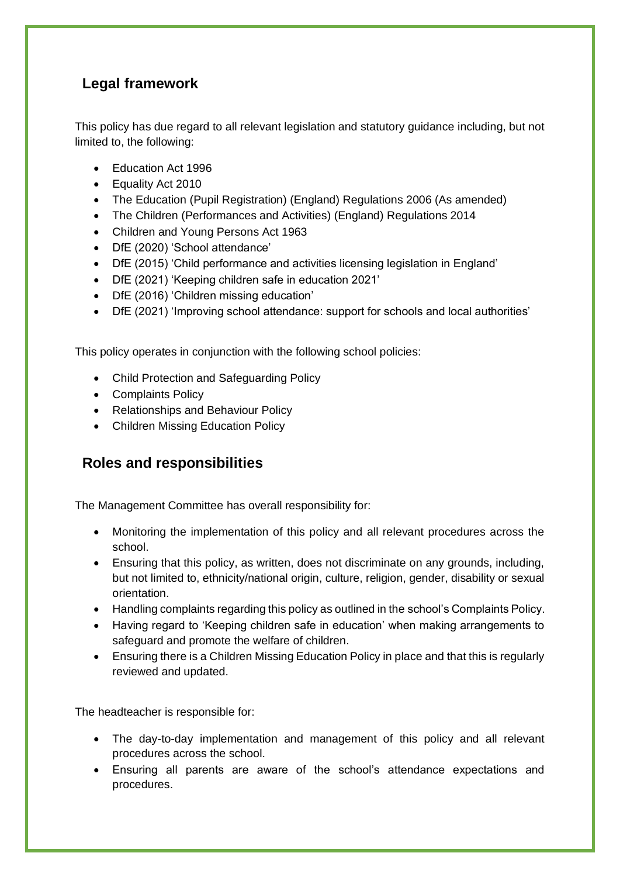## **Legal framework**

This policy has due regard to all relevant legislation and statutory guidance including, but not limited to, the following:

- Fducation Act 1996
- Equality Act 2010
- The Education (Pupil Registration) (England) Regulations 2006 (As amended)
- The Children (Performances and Activities) (England) Regulations 2014
- Children and Young Persons Act 1963
- DfE (2020) 'School attendance'
- DfE (2015) 'Child performance and activities licensing legislation in England'
- DfE (2021) 'Keeping children safe in education 2021'
- DfE (2016) 'Children missing education'
- DfE (2021) 'Improving school attendance: support for schools and local authorities'

This policy operates in conjunction with the following school policies:

- Child Protection and Safeguarding Policy
- Complaints Policy
- Relationships and Behaviour Policy
- Children Missing Education Policy

### **Roles and responsibilities**

The Management Committee has overall responsibility for:

- Monitoring the implementation of this policy and all relevant procedures across the school.
- Ensuring that this policy, as written, does not discriminate on any grounds, including, but not limited to, ethnicity/national origin, culture, religion, gender, disability or sexual orientation.
- Handling complaints regarding this policy as outlined in the school's Complaints Policy.
- Having regard to 'Keeping children safe in education' when making arrangements to safeguard and promote the welfare of children.
- Ensuring there is a Children Missing Education Policy in place and that this is regularly reviewed and updated.

The headteacher is responsible for:

- The day-to-day implementation and management of this policy and all relevant procedures across the school.
- Ensuring all parents are aware of the school's attendance expectations and procedures.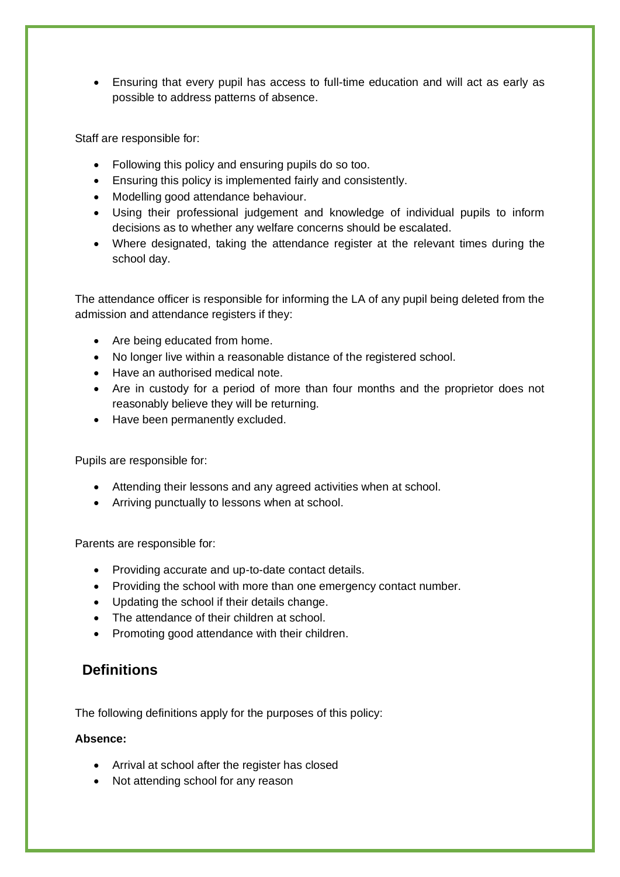• Ensuring that every pupil has access to full-time education and will act as early as possible to address patterns of absence.

Staff are responsible for:

- Following this policy and ensuring pupils do so too.
- Ensuring this policy is implemented fairly and consistently.
- Modelling good attendance behaviour.
- Using their professional judgement and knowledge of individual pupils to inform decisions as to whether any welfare concerns should be escalated.
- Where designated, taking the attendance register at the relevant times during the school day.

The attendance officer is responsible for informing the LA of any pupil being deleted from the admission and attendance registers if they:

- Are being educated from home.
- No longer live within a reasonable distance of the registered school.
- Have an authorised medical note.
- Are in custody for a period of more than four months and the proprietor does not reasonably believe they will be returning.
- Have been permanently excluded.

Pupils are responsible for:

- Attending their lessons and any agreed activities when at school.
- Arriving punctually to lessons when at school.

Parents are responsible for:

- Providing accurate and up-to-date contact details.
- Providing the school with more than one emergency contact number.
- Updating the school if their details change.
- The attendance of their children at school.
- Promoting good attendance with their children.

#### **Definitions**

The following definitions apply for the purposes of this policy:

#### **Absence:**

- Arrival at school after the register has closed
- Not attending school for any reason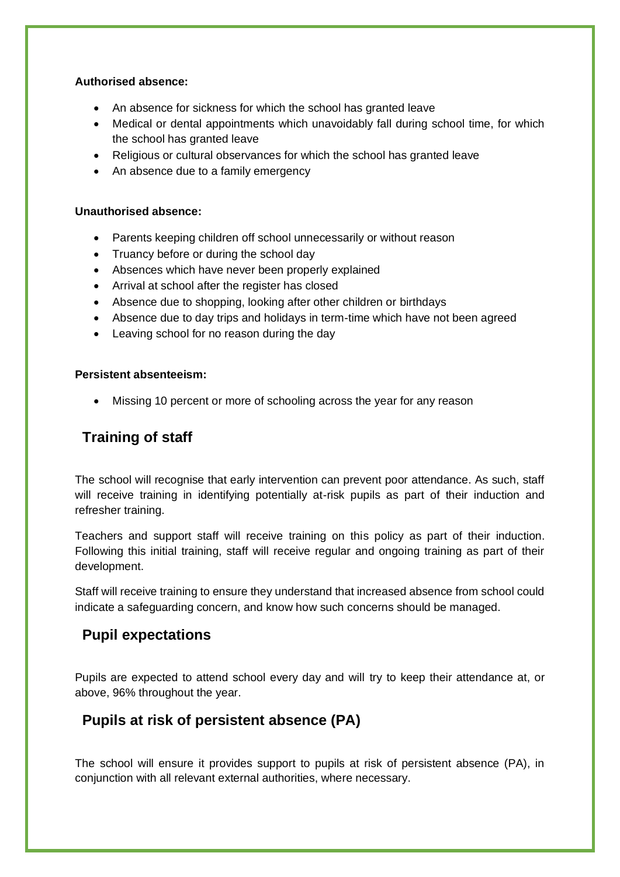#### **Authorised absence:**

- An absence for sickness for which the school has granted leave
- Medical or dental appointments which unavoidably fall during school time, for which the school has granted leave
- Religious or cultural observances for which the school has granted leave
- An absence due to a family emergency

#### **Unauthorised absence:**

- Parents keeping children off school unnecessarily or without reason
- Truancy before or during the school day
- Absences which have never been properly explained
- Arrival at school after the register has closed
- Absence due to shopping, looking after other children or birthdays
- Absence due to day trips and holidays in term-time which have not been agreed
- Leaving school for no reason during the day

#### **Persistent absenteeism:**

• Missing 10 percent or more of schooling across the year for any reason

#### **Training of staff**

The school will recognise that early intervention can prevent poor attendance. As such, staff will receive training in identifying potentially at-risk pupils as part of their induction and refresher training.

Teachers and support staff will receive training on this policy as part of their induction. Following this initial training, staff will receive regular and ongoing training as part of their development.

Staff will receive training to ensure they understand that increased absence from school could indicate a safeguarding concern, and know how such concerns should be managed.

#### **Pupil expectations**

Pupils are expected to attend school every day and will try to keep their attendance at, or above, 96% throughout the year.

#### **Pupils at risk of persistent absence (PA)**

The school will ensure it provides support to pupils at risk of persistent absence (PA), in conjunction with all relevant external authorities, where necessary.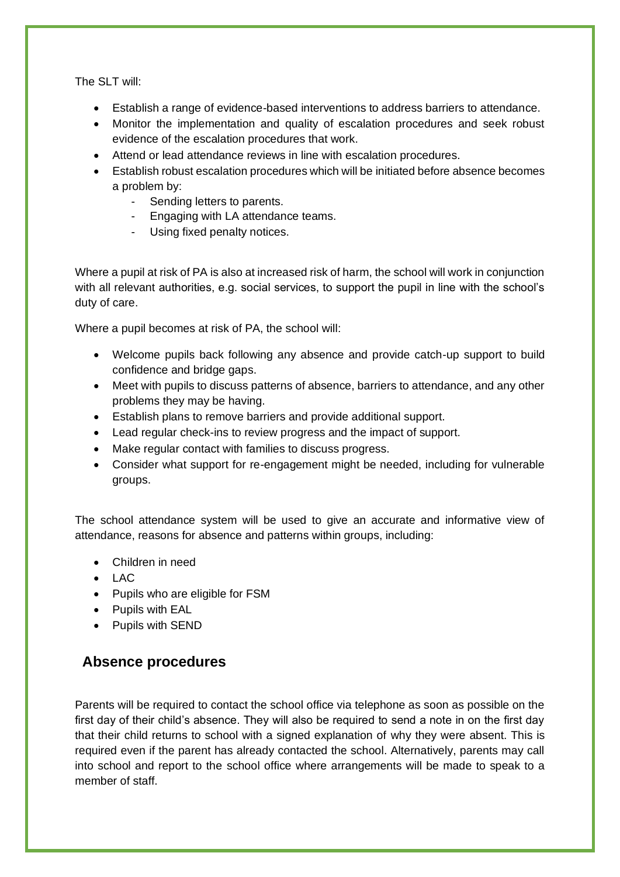The SLT will:

- Establish a range of evidence-based interventions to address barriers to attendance.
- Monitor the implementation and quality of escalation procedures and seek robust evidence of the escalation procedures that work.
- Attend or lead attendance reviews in line with escalation procedures.
- Establish robust escalation procedures which will be initiated before absence becomes a problem by:
	- Sending letters to parents.
	- Engaging with LA attendance teams.
	- Using fixed penalty notices.

Where a pupil at risk of PA is also at increased risk of harm, the school will work in conjunction with all relevant authorities, e.g. social services, to support the pupil in line with the school's duty of care.

Where a pupil becomes at risk of PA, the school will:

- Welcome pupils back following any absence and provide catch-up support to build confidence and bridge gaps.
- Meet with pupils to discuss patterns of absence, barriers to attendance, and any other problems they may be having.
- Establish plans to remove barriers and provide additional support.
- Lead regular check-ins to review progress and the impact of support.
- Make regular contact with families to discuss progress.
- Consider what support for re-engagement might be needed, including for vulnerable groups.

The school attendance system will be used to give an accurate and informative view of attendance, reasons for absence and patterns within groups, including:

- Children in need
- $\bullet$  LAC
- Pupils who are eligible for FSM
- Pupils with EAL
- Pupils with SEND

### **Absence procedures**

Parents will be required to contact the school office via telephone as soon as possible on the first day of their child's absence. They will also be required to send a note in on the first day that their child returns to school with a signed explanation of why they were absent. This is required even if the parent has already contacted the school. Alternatively, parents may call into school and report to the school office where arrangements will be made to speak to a member of staff.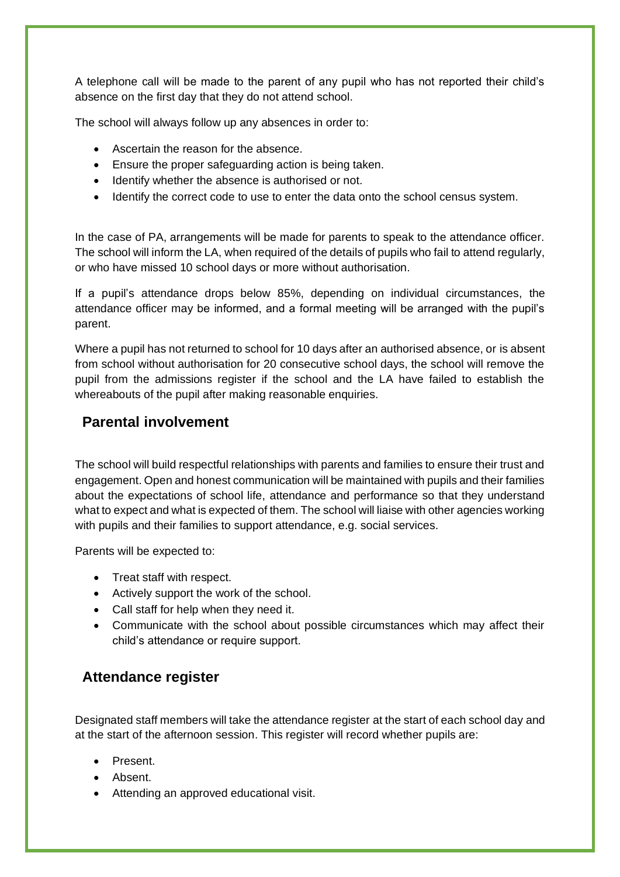A telephone call will be made to the parent of any pupil who has not reported their child's absence on the first day that they do not attend school.

The school will always follow up any absences in order to:

- Ascertain the reason for the absence.
- Ensure the proper safeguarding action is being taken.
- Identify whether the absence is authorised or not.
- Identify the correct code to use to enter the data onto the school census system.

In the case of PA, arrangements will be made for parents to speak to the attendance officer. The school will inform the LA, when required of the details of pupils who fail to attend regularly, or who have missed 10 school days or more without authorisation.

If a pupil's attendance drops below 85%, depending on individual circumstances, the attendance officer may be informed, and a formal meeting will be arranged with the pupil's parent.

Where a pupil has not returned to school for 10 days after an authorised absence, or is absent from school without authorisation for 20 consecutive school days, the school will remove the pupil from the admissions register if the school and the LA have failed to establish the whereabouts of the pupil after making reasonable enquiries.

#### **Parental involvement**

The school will build respectful relationships with parents and families to ensure their trust and engagement. Open and honest communication will be maintained with pupils and their families about the expectations of school life, attendance and performance so that they understand what to expect and what is expected of them. The school will liaise with other agencies working with pupils and their families to support attendance, e.g. social services.

Parents will be expected to:

- Treat staff with respect.
- Actively support the work of the school.
- Call staff for help when they need it.
- Communicate with the school about possible circumstances which may affect their child's attendance or require support.

#### **Attendance register**

Designated staff members will take the attendance register at the start of each school day and at the start of the afternoon session. This register will record whether pupils are:

- Present.
- Absent.
- Attending an approved educational visit.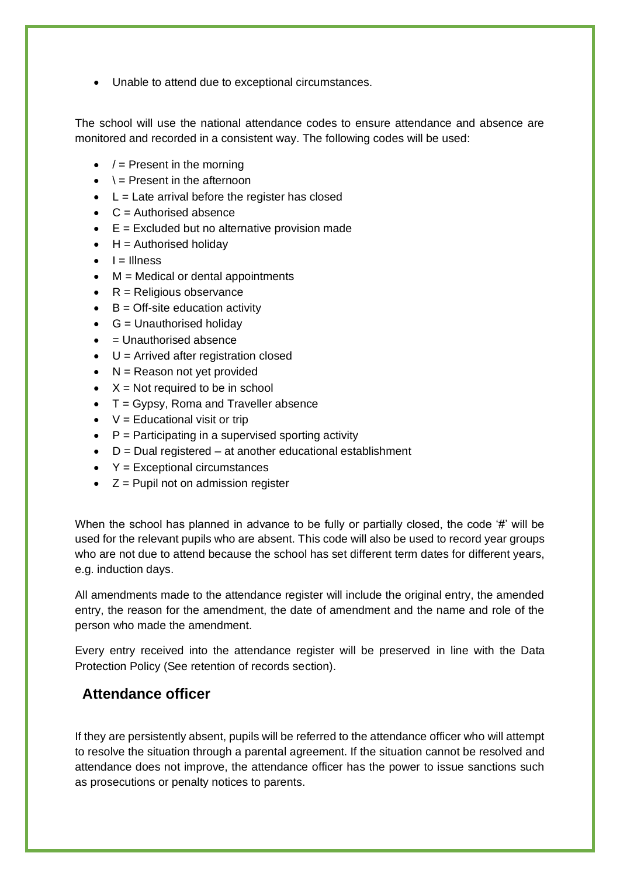• Unable to attend due to exceptional circumstances.

The school will use the national attendance codes to ensure attendance and absence are monitored and recorded in a consistent way. The following codes will be used:

- $\bullet$  / = Present in the morning
- $\bullet \quad \searrow$  Present in the afternoon
- $\bullet$  L = Late arrival before the register has closed
- $\bullet$   $C =$  Authorised absence
- $\bullet$   $E = Excluded$  but no alternative provision made
- $\bullet$  H = Authorised holiday
- $\bullet$   $I =$  Illness
- $\bullet$  M = Medical or dental appointments
- $\bullet$   $R =$  Religious observance
- $\bullet$  B = Off-site education activity
- $\bullet$  G = Unauthorised holiday
- $\bullet$  = Unauthorised absence
- $\bullet$  U = Arrived after registration closed
- $\bullet$  N = Reason not yet provided
- $X = Not required to be in school$
- T = Gypsy, Roma and Traveller absence
- $\bullet$   $V =$  Educational visit or trip
- $\bullet$   $\vdash$  P = Participating in a supervised sporting activity
- $\bullet$  D = Dual registered at another educational establishment
- $Y = Exceptional circumstances$
- $\bullet$   $Z =$  Pupil not on admission register

When the school has planned in advance to be fully or partially closed, the code '#' will be used for the relevant pupils who are absent. This code will also be used to record year groups who are not due to attend because the school has set different term dates for different years, e.g. induction days.

All amendments made to the attendance register will include the original entry, the amended entry, the reason for the amendment, the date of amendment and the name and role of the person who made the amendment.

Every entry received into the attendance register will be preserved in line with the Data Protection Policy (See retention of records section).

#### **Attendance officer**

If they are persistently absent, pupils will be referred to the attendance officer who will attempt to resolve the situation through a parental agreement. If the situation cannot be resolved and attendance does not improve, the attendance officer has the power to issue sanctions such as prosecutions or penalty notices to parents.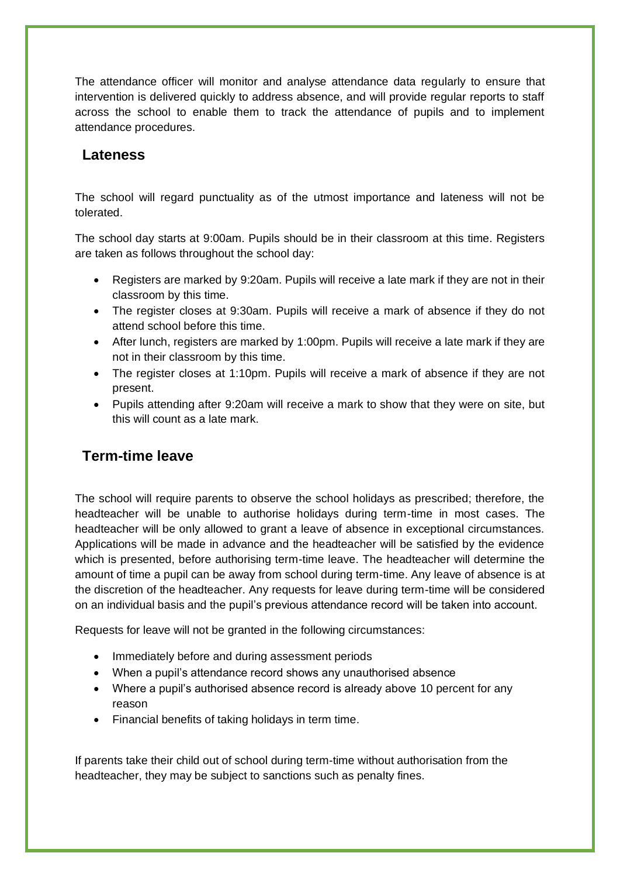The attendance officer will monitor and analyse attendance data regularly to ensure that intervention is delivered quickly to address absence, and will provide regular reports to staff across the school to enable them to track the attendance of pupils and to implement attendance procedures.

#### **Lateness**

The school will regard punctuality as of the utmost importance and lateness will not be tolerated.

The school day starts at 9:00am. Pupils should be in their classroom at this time. Registers are taken as follows throughout the school day:

- Registers are marked by 9:20am. Pupils will receive a late mark if they are not in their classroom by this time.
- The register closes at 9:30am. Pupils will receive a mark of absence if they do not attend school before this time.
- After lunch, registers are marked by 1:00pm. Pupils will receive a late mark if they are not in their classroom by this time.
- The register closes at 1:10pm. Pupils will receive a mark of absence if they are not present.
- Pupils attending after 9:20am will receive a mark to show that they were on site, but this will count as a late mark.

### **Term-time leave**

The school will require parents to observe the school holidays as prescribed; therefore, the headteacher will be unable to authorise holidays during term-time in most cases. The headteacher will be only allowed to grant a leave of absence in exceptional circumstances. Applications will be made in advance and the headteacher will be satisfied by the evidence which is presented, before authorising term-time leave. The headteacher will determine the amount of time a pupil can be away from school during term-time. Any leave of absence is at the discretion of the headteacher. Any requests for leave during term-time will be considered on an individual basis and the pupil's previous attendance record will be taken into account.

Requests for leave will not be granted in the following circumstances:

- Immediately before and during assessment periods
- When a pupil's attendance record shows any unauthorised absence
- Where a pupil's authorised absence record is already above 10 percent for any reason
- Financial benefits of taking holidays in term time.

If parents take their child out of school during term-time without authorisation from the headteacher, they may be subject to sanctions such as penalty fines.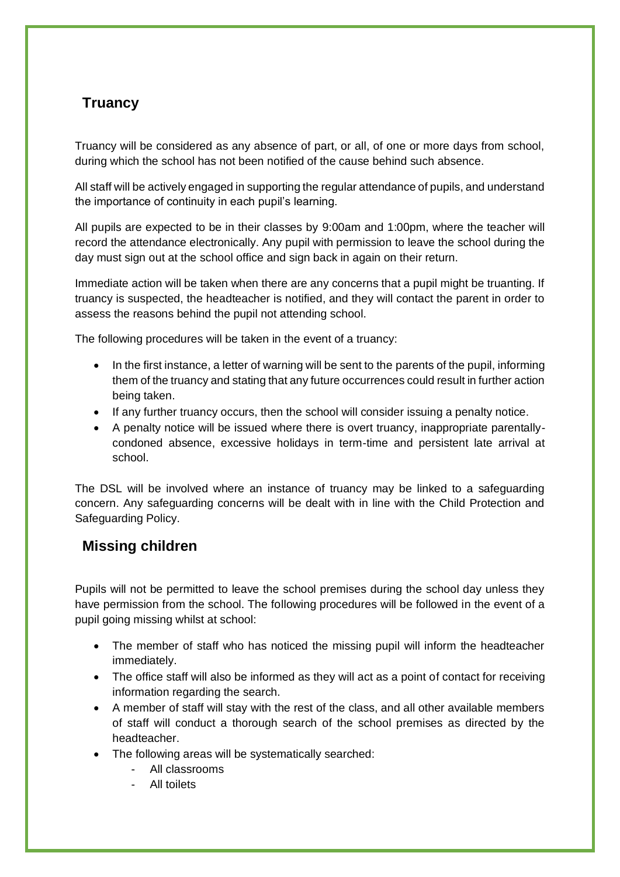## **Truancy**

Truancy will be considered as any absence of part, or all, of one or more days from school, during which the school has not been notified of the cause behind such absence.

All staff will be actively engaged in supporting the regular attendance of pupils, and understand the importance of continuity in each pupil's learning.

All pupils are expected to be in their classes by 9:00am and 1:00pm, where the teacher will record the attendance electronically. Any pupil with permission to leave the school during the day must sign out at the school office and sign back in again on their return.

Immediate action will be taken when there are any concerns that a pupil might be truanting. If truancy is suspected, the headteacher is notified, and they will contact the parent in order to assess the reasons behind the pupil not attending school.

The following procedures will be taken in the event of a truancy:

- In the first instance, a letter of warning will be sent to the parents of the pupil, informing them of the truancy and stating that any future occurrences could result in further action being taken.
- If any further truancy occurs, then the school will consider issuing a penalty notice.
- A penalty notice will be issued where there is overt truancy, inappropriate parentallycondoned absence, excessive holidays in term-time and persistent late arrival at school.

The DSL will be involved where an instance of truancy may be linked to a safeguarding concern. Any safeguarding concerns will be dealt with in line with the Child Protection and Safeguarding Policy.

### **Missing children**

Pupils will not be permitted to leave the school premises during the school day unless they have permission from the school. The following procedures will be followed in the event of a pupil going missing whilst at school:

- The member of staff who has noticed the missing pupil will inform the headteacher immediately.
- The office staff will also be informed as they will act as a point of contact for receiving information regarding the search.
- A member of staff will stay with the rest of the class, and all other available members of staff will conduct a thorough search of the school premises as directed by the headteacher.
- The following areas will be systematically searched:
	- All classrooms
	- All toilets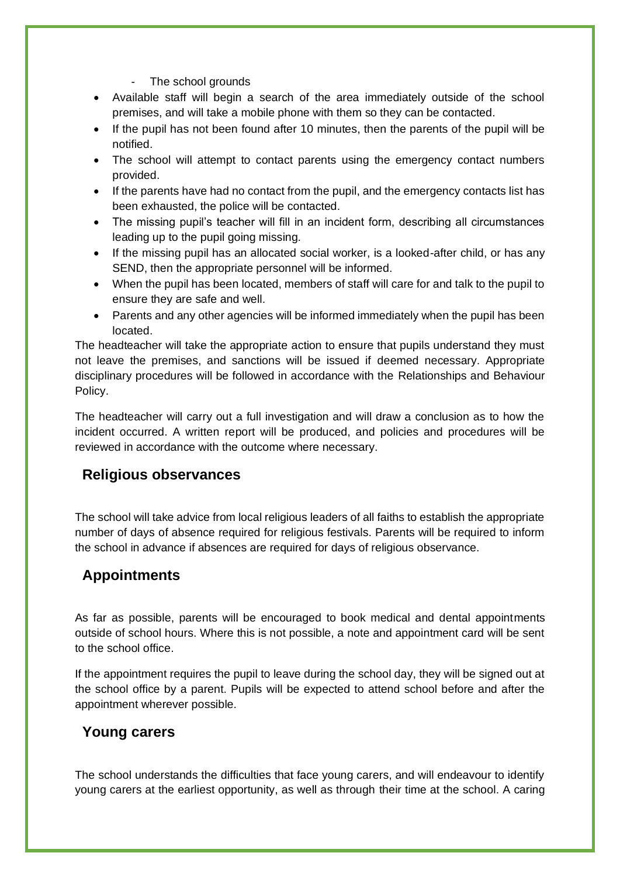- The school grounds
- Available staff will begin a search of the area immediately outside of the school premises, and will take a mobile phone with them so they can be contacted.
- If the pupil has not been found after 10 minutes, then the parents of the pupil will be notified.
- The school will attempt to contact parents using the emergency contact numbers provided.
- If the parents have had no contact from the pupil, and the emergency contacts list has been exhausted, the police will be contacted.
- The missing pupil's teacher will fill in an incident form, describing all circumstances leading up to the pupil going missing.
- If the missing pupil has an allocated social worker, is a looked-after child, or has any SEND, then the appropriate personnel will be informed.
- When the pupil has been located, members of staff will care for and talk to the pupil to ensure they are safe and well.
- Parents and any other agencies will be informed immediately when the pupil has been located.

The headteacher will take the appropriate action to ensure that pupils understand they must not leave the premises, and sanctions will be issued if deemed necessary. Appropriate disciplinary procedures will be followed in accordance with the Relationships and Behaviour Policy.

The headteacher will carry out a full investigation and will draw a conclusion as to how the incident occurred. A written report will be produced, and policies and procedures will be reviewed in accordance with the outcome where necessary.

### **Religious observances**

The school will take advice from local religious leaders of all faiths to establish the appropriate number of days of absence required for religious festivals. Parents will be required to inform the school in advance if absences are required for days of religious observance.

### **Appointments**

As far as possible, parents will be encouraged to book medical and dental appointments outside of school hours. Where this is not possible, a note and appointment card will be sent to the school office.

If the appointment requires the pupil to leave during the school day, they will be signed out at the school office by a parent. Pupils will be expected to attend school before and after the appointment wherever possible.

#### **Young carers**

The school understands the difficulties that face young carers, and will endeavour to identify young carers at the earliest opportunity, as well as through their time at the school. A caring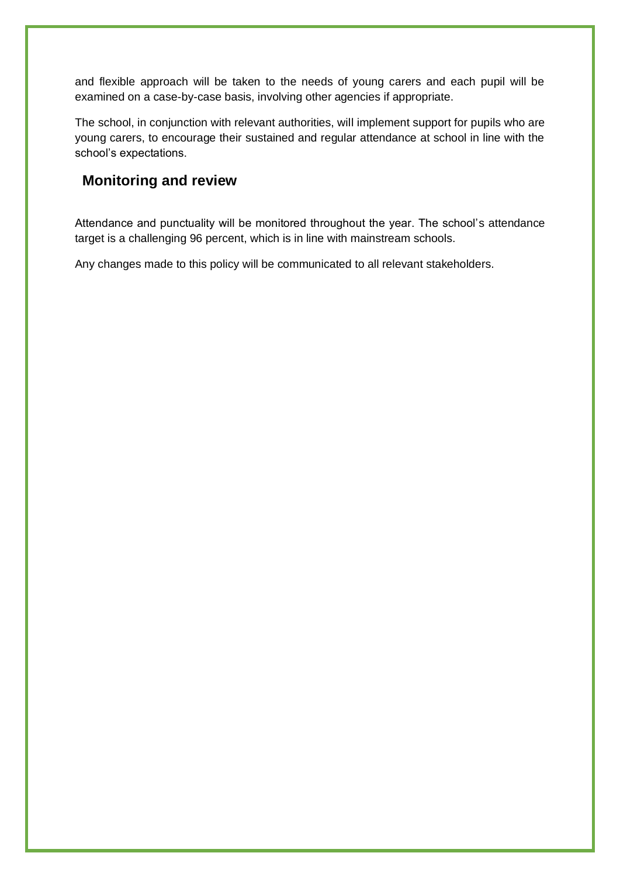and flexible approach will be taken to the needs of young carers and each pupil will be examined on a case-by-case basis, involving other agencies if appropriate.

The school, in conjunction with relevant authorities, will implement support for pupils who are young carers, to encourage their sustained and regular attendance at school in line with the school's expectations.

#### **Monitoring and review**

Attendance and punctuality will be monitored throughout the year. The school's attendance target is a challenging 96 percent, which is in line with mainstream schools.

Any changes made to this policy will be communicated to all relevant stakeholders.